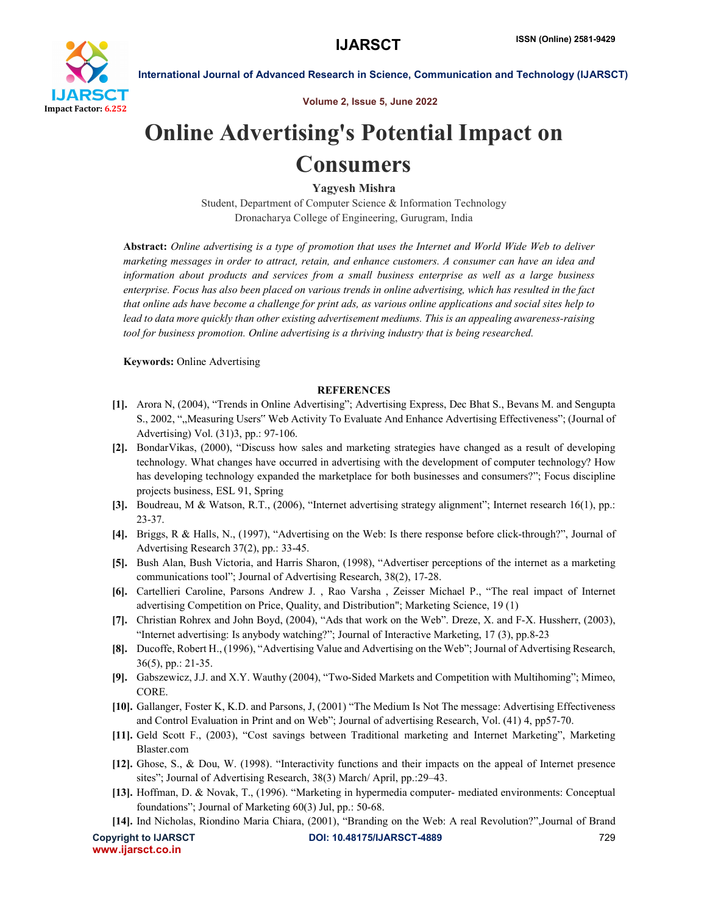

International Journal of Advanced Research in Science, Communication and Technology (IJARSCT)

Volume 2, Issue 5, June 2022

# Online Advertising's Potential Impact on **Consumers**

Yagyesh Mishra

Student, Department of Computer Science & Information Technology Dronacharya College of Engineering, Gurugram, India

Abstract: *Online advertising is a type of promotion that uses the Internet and World Wide Web to deliver marketing messages in order to attract, retain, and enhance customers. A consumer can have an idea and information about products and services from a small business enterprise as well as a large business enterprise. Focus has also been placed on various trends in online advertising, which has resulted in the fact that online ads have become a challenge for print ads, as various online applications and social sites help to lead to data more quickly than other existing advertisement mediums. This is an appealing awareness-raising tool for business promotion. Online advertising is a thriving industry that is being researched.*

Keywords: Online Advertising

### **REFERENCES**

- [1]. Arora N, (2004), "Trends in Online Advertising"; Advertising Express, Dec Bhat S., Bevans M. and Sengupta S., 2002, ", Measuring Users" Web Activity To Evaluate And Enhance Advertising Effectiveness"; (Journal of Advertising) Vol. (31)3, pp.: 97-106.
- [2]. BondarVikas, (2000), "Discuss how sales and marketing strategies have changed as a result of developing technology. What changes have occurred in advertising with the development of computer technology? How has developing technology expanded the marketplace for both businesses and consumers?"; Focus discipline projects business, ESL 91, Spring
- [3]. Boudreau, M & Watson, R.T., (2006), "Internet advertising strategy alignment"; Internet research 16(1), pp.: 23-37.
- [4]. Briggs, R & Halls, N., (1997), "Advertising on the Web: Is there response before click-through?", Journal of Advertising Research 37(2), pp.: 33-45.
- [5]. Bush Alan, Bush Victoria, and Harris Sharon, (1998), "Advertiser perceptions of the internet as a marketing communications tool"; Journal of Advertising Research, 38(2), 17-28.
- [6]. Cartellieri Caroline, Parsons Andrew J. , Rao Varsha , Zeisser Michael P., "The real impact of Internet advertising Competition on Price, Quality, and Distribution"; Marketing Science, 19 (1)
- [7]. Christian Rohrex and John Boyd, (2004), "Ads that work on the Web". Dreze, X. and F-X. Hussherr, (2003), "Internet advertising: Is anybody watching?"; Journal of Interactive Marketing, 17 (3), pp.8-23
- [8]. Ducoffe, Robert H., (1996), "Advertising Value and Advertising on the Web"; Journal of Advertising Research, 36(5), pp.: 21-35.
- [9]. Gabszewicz, J.J. and X.Y. Wauthy (2004), "Two-Sided Markets and Competition with Multihoming"; Mimeo, CORE.
- [10]. Gallanger, Foster K, K.D. and Parsons, J, (2001) "The Medium Is Not The message: Advertising Effectiveness and Control Evaluation in Print and on Web"; Journal of advertising Research, Vol. (41) 4, pp57-70.
- [11]. Geld Scott F., (2003), "Cost savings between Traditional marketing and Internet Marketing", Marketing Blaster.com
- [12]. Ghose, S., & Dou, W. (1998). "Interactivity functions and their impacts on the appeal of Internet presence sites"; Journal of Advertising Research, 38(3) March/ April, pp.:29–43.
- [13]. Hoffman, D. & Novak, T., (1996). "Marketing in hypermedia computer- mediated environments: Conceptual foundations"; Journal of Marketing 60(3) Jul, pp.: 50-68.
- [14]. Ind Nicholas, Riondino Maria Chiara, (2001), "Branding on the Web: A real Revolution?",Journal of Brand

www.ijarsct.co.in